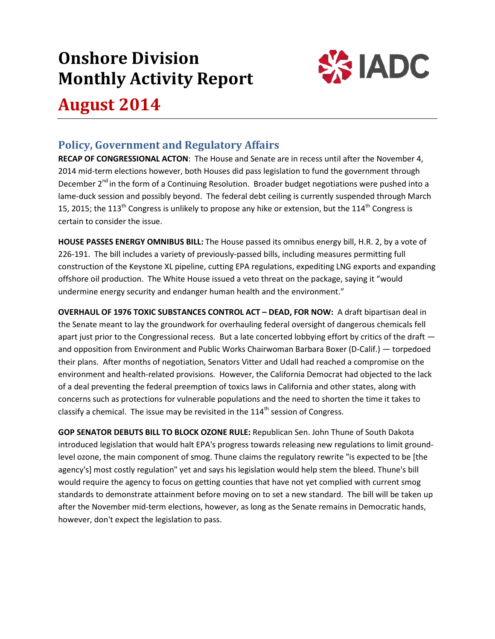# **Onshore Division Monthly Activity Report**



# **August 2014**

# **Policy, Government and Regulatory Affairs**

**RECAP OF CONGRESSIONAL ACTON**: The House and Senate are in recess until after the November 4, 2014 mid-term elections however, both Houses did pass legislation to fund the government through December  $2^{nd}$  in the form of a Continuing Resolution. Broader budget negotiations were pushed into a lame-duck session and possibly beyond. The federal debt ceiling is currently suspended through March 15, 2015; the 113<sup>th</sup> Congress is unlikely to propose any hike or extension, but the 114<sup>th</sup> Congress is certain to consider the issue.

**HOUSE PASSES ENERGY OMNIBUS BILL:** The House passed its omnibus energy bill, H.R. 2, by a vote of 226-191. The bill includes a variety of previously-passed bills, including measures permitting full construction of the Keystone XL pipeline, cutting EPA regulations, expediting LNG exports and expanding offshore oil production. The White House issued a veto threat on the package, saying it "would undermine energy security and endanger human health and the environment."

**OVERHAUL OF 1976 TOXIC SUBSTANCES CONTROL ACT – DEAD, FOR NOW:** A draft bipartisan deal in the Senate meant to lay the groundwork for overhauling federal oversight of dangerous chemicals fell apart just prior to the Congressional recess. But a late concerted lobbying effort by critics of the draft and opposition from Environment and Public Works Chairwoman Barbara Boxer (D-Calif.) — torpedoed their plans. After months of negotiation, Senators Vitter and Udall had reached a compromise on the environment and health-related provisions. However, the California Democrat had objected to the lack of a deal preventing the federal preemption of toxics laws in California and other states, along with concerns such as protections for vulnerable populations and the need to shorten the time it takes to classify a chemical. The issue may be revisited in the  $114<sup>th</sup>$  session of Congress.

**GOP SENATOR DEBUTS BILL TO BLOCK OZONE RULE:** Republican Sen. John Thune of South Dakota introduced legislation that would halt EPA's progress towards releasing new regulations to limit groundlevel ozone, the main component of smog. Thune claims the regulatory rewrite "is expected to be [the agency's] most costly regulation" yet and says his legislation would help stem the bleed. Thune's bill would require the agency to focus on getting counties that have not yet complied with current smog standards to demonstrate attainment before moving on to set a new standard. The bill will be taken up after the November mid-term elections, however, as long as the Senate remains in Democratic hands, however, don't expect the legislation to pass.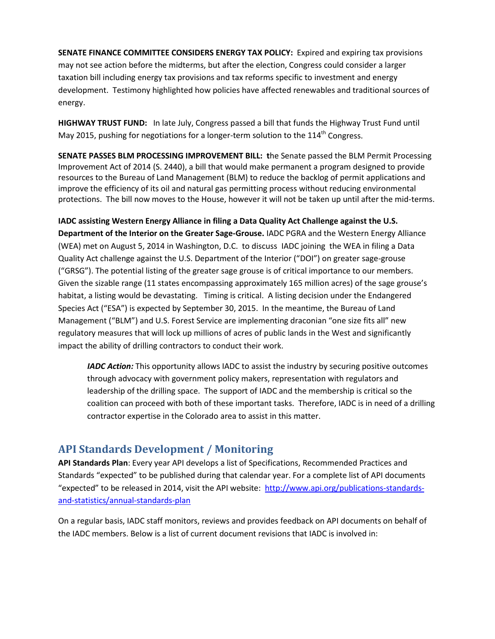**SENATE FINANCE COMMITTEE CONSIDERS ENERGY TAX POLICY:** Expired and expiring tax provisions may not see action before the midterms, but after the election, Congress could consider a larger taxation bill including energy tax provisions and tax reforms specific to investment and energy development. Testimony highlighted how policies have affected renewables and traditional sources of energy.

**HIGHWAY TRUST FUND:** In late July, Congress passed a bill that funds the Highway Trust Fund until May 2015, pushing for negotiations for a longer-term solution to the  $114<sup>th</sup>$  Congress.

**SENATE PASSES BLM PROCESSING IMPROVEMENT BILL: t**he Senate passed the BLM Permit Processing Improvement Act of 2014 (S. 2440), a bill that would make permanent a program designed to provide resources to the Bureau of Land Management (BLM) to reduce the backlog of permit applications and improve the efficiency of its oil and natural gas permitting process without reducing environmental protections. The bill now moves to the House, however it will not be taken up until after the mid-terms.

**IADC assisting Western Energy Alliance in filing a Data Quality Act Challenge against the U.S. Department of the Interior on the Greater Sage-Grouse.** IADC PGRA and the Western Energy Alliance (WEA) met on August 5, 2014 in Washington, D.C. to discuss IADC joining the WEA in filing a Data Quality Act challenge against the U.S. Department of the Interior ("DOI") on greater sage-grouse ("GRSG"). The potential listing of the greater sage grouse is of critical importance to our members. Given the sizable range (11 states encompassing approximately 165 million acres) of the sage grouse's habitat, a listing would be devastating. Timing is critical. A listing decision under the Endangered Species Act ("ESA") is expected by September 30, 2015. In the meantime, the Bureau of Land Management ("BLM") and U.S. Forest Service are implementing draconian "one size fits all" new regulatory measures that will lock up millions of acres of public lands in the West and significantly impact the ability of drilling contractors to conduct their work.

*IADC Action:* This opportunity allows IADC to assist the industry by securing positive outcomes through advocacy with government policy makers, representation with regulators and leadership of the drilling space. The support of IADC and the membership is critical so the coalition can proceed with both of these important tasks. Therefore, IADC is in need of a drilling contractor expertise in the Colorado area to assist in this matter.

# **API Standards Development / Monitoring**

**API Standards Plan**: Every year API develops a list of Specifications, Recommended Practices and Standards "expected" to be published during that calendar year. For a complete list of API documents "expected" to be released in 2014, visit the API website: [http://www.api.org/publications-standards](http://www.api.org/publications-standards-and-statistics/annual-standards-plan)[and-statistics/annual-standards-plan](http://www.api.org/publications-standards-and-statistics/annual-standards-plan)

On a regular basis, IADC staff monitors, reviews and provides feedback on API documents on behalf of the IADC members. Below is a list of current document revisions that IADC is involved in: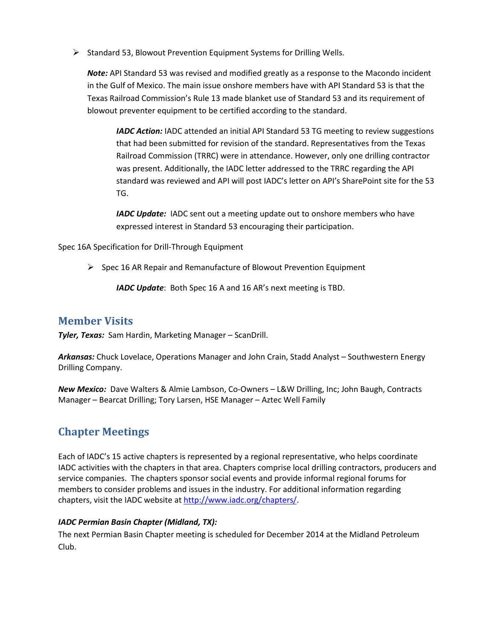$\triangleright$  Standard 53, Blowout Prevention Equipment Systems for Drilling Wells.

*Note:* API Standard 53 was revised and modified greatly as a response to the Macondo incident in the Gulf of Mexico. The main issue onshore members have with API Standard 53 is that the Texas Railroad Commission's Rule 13 made blanket use of Standard 53 and its requirement of blowout preventer equipment to be certified according to the standard.

*IADC Action:* IADC attended an initial API Standard 53 TG meeting to review suggestions that had been submitted for revision of the standard. Representatives from the Texas Railroad Commission (TRRC) were in attendance. However, only one drilling contractor was present. Additionally, the IADC letter addressed to the TRRC regarding the API standard was reviewed and API will post IADC's letter on API's SharePoint site for the 53 TG.

*IADC Update:* IADC sent out a meeting update out to onshore members who have expressed interest in Standard 53 encouraging their participation.

Spec 16A Specification for Drill-Through Equipment

 $\triangleright$  Spec 16 AR Repair and Remanufacture of Blowout Prevention Equipment

*IADC Update*: Both Spec 16 A and 16 AR's next meeting is TBD.

### **Member Visits**

*Tyler, Texas:* Sam Hardin, Marketing Manager – ScanDrill.

*Arkansas:* Chuck Lovelace, Operations Manager and John Crain, Stadd Analyst – Southwestern Energy Drilling Company.

*New Mexico:* Dave Walters & Almie Lambson, Co-Owners – L&W Drilling, Inc; John Baugh, Contracts Manager – Bearcat Drilling; Tory Larsen, HSE Manager – Aztec Well Family

# **Chapter Meetings**

Each of IADC's 15 active chapters is represented by a regional representative, who helps coordinate IADC activities with the chapters in that area. Chapters comprise local drilling contractors, producers and service companies. The chapters sponsor social events and provide informal regional forums for members to consider problems and issues in the industry. For additional information regarding chapters, visit the IADC website at [http://www.iadc.org/chapters/.](http://www.iadc.org/chapters/)

#### *IADC Permian Basin Chapter (Midland, TX):*

The next Permian Basin Chapter meeting is scheduled for December 2014 at the Midland Petroleum Club.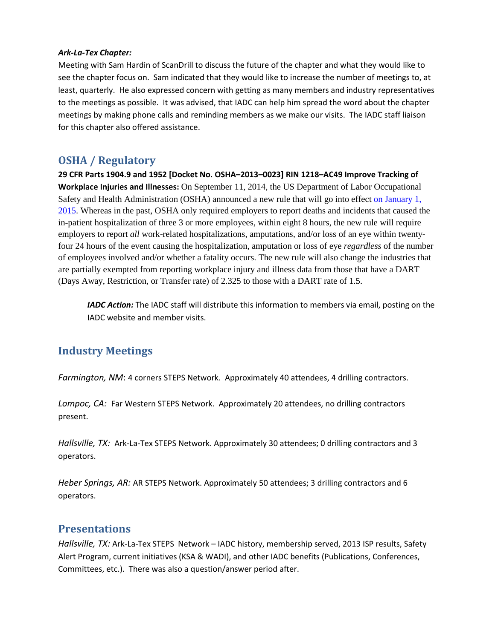#### *Ark-La-Tex Chapter:*

Meeting with Sam Hardin of ScanDrill to discuss the future of the chapter and what they would like to see the chapter focus on. Sam indicated that they would like to increase the number of meetings to, at least, quarterly. He also expressed concern with getting as many members and industry representatives to the meetings as possible. It was advised, that IADC can help him spread the word about the chapter meetings by making phone calls and reminding members as we make our visits. The IADC staff liaison for this chapter also offered assistance.

## **OSHA / Regulatory**

**29 CFR Parts 1904.9 and 1952 [Docket No. OSHA–2013–0023] RIN 1218–AC49 Improve Tracking of Workplace Injuries and Illnesses:** On September 11, 2014, the US Department of Labor Occupational Safety and Health Administration (OSHA) announced a new rule that will go into effect [on January 1,](x-apple-data-detectors://3/)  [2015.](x-apple-data-detectors://3/) Whereas in the past, OSHA only required employers to report deaths and incidents that caused the in-patient hospitalization of three 3 or more employees, within eight 8 hours, the new rule will require employers to report *all* work-related hospitalizations, amputations, and/or loss of an eye within twentyfour 24 hours of the event causing the hospitalization, amputation or loss of eye *regardless* of the number of employees involved and/or whether a fatality occurs. The new rule will also change the industries that are partially exempted from reporting workplace injury and illness data from those that have a DART (Days Away, Restriction, or Transfer rate) of 2.325 to those with a DART rate of 1.5.

*IADC Action:* The IADC staff will distribute this information to members via email, posting on the IADC website and member visits.

## **Industry Meetings**

*Farmington, NM*: 4 corners STEPS Network. Approximately 40 attendees, 4 drilling contractors.

*Lompoc, CA:* Far Western STEPS Network. Approximately 20 attendees, no drilling contractors present.

*Hallsville, TX:* Ark-La-Tex STEPS Network. Approximately 30 attendees; 0 drilling contractors and 3 operators.

*Heber Springs, AR:* AR STEPS Network. Approximately 50 attendees; 3 drilling contractors and 6 operators.

### **Presentations**

*Hallsville, TX:* Ark-La-Tex STEPS Network – IADC history, membership served, 2013 ISP results, Safety Alert Program, current initiatives (KSA & WADI), and other IADC benefits (Publications, Conferences, Committees, etc.). There was also a question/answer period after.